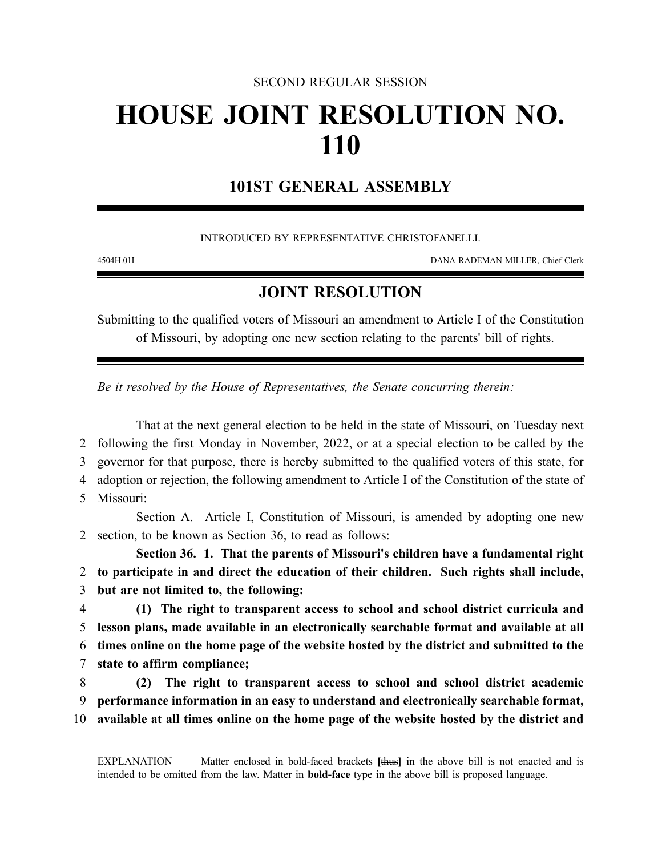## SECOND REGULAR SESSION

## **HOUSE JOINT RESOLUTION NO. 110**

## **101ST GENERAL ASSEMBLY**

INTRODUCED BY REPRESENTATIVE CHRISTOFANELLI.

4504H.01I DANA RADEMAN MILLER, Chief Clerk

## **JOINT RESOLUTION**

Submitting to the qualified voters of Missouri an amendment to Article I of the Constitution of Missouri, by adopting one new section relating to the parents' bill of rights.

*Be it resolved by the House of Representatives, the Senate concurring therein:*

That at the next general election to be held in the state of Missouri, on Tuesday next following the first Monday in November, 2022, or at a special election to be called by the governor for that purpose, there is hereby submitted to the qualified voters of this state, for adoption or rejection, the following amendment to Article I of the Constitution of the state of Missouri: Section A. Article I, Constitution of Missouri, is amended by adopting one new section, to be known as Section 36, to read as follows: **Section 36. 1. That the parents of Missouri's children have a fundamental right to participate in and direct the education of their children. Such rights shall include, but are not limited to, the following: (1) The right to transparent access to school and school district curricula and lesson plans, made available in an electronically searchable format and available at all times online on the home page of the website hosted by the district and submitted to the**

7 **state to affirm compliance;**

8 **(2) The right to transparent access to school and school district academic** 9 **performance information in an easy to understand and electronically searchable format,** 10 **available at all times online on the home page of the website hosted by the district and**

EXPLANATION — Matter enclosed in bold-faced brackets **[**thus**]** in the above bill is not enacted and is intended to be omitted from the law. Matter in **bold-face** type in the above bill is proposed language.